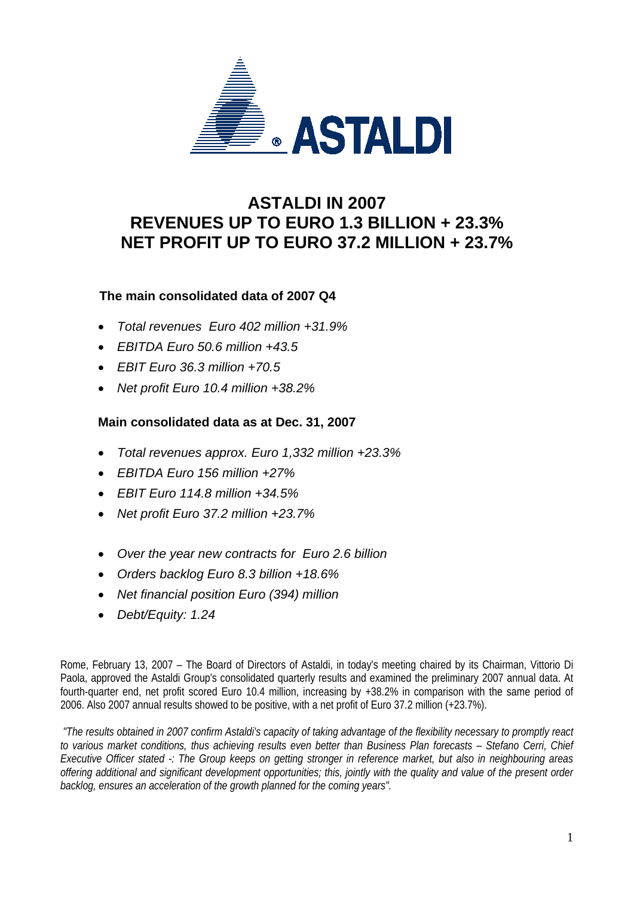

## **ASTALDI IN 2007 REVENUES UP TO EURO 1.3 BILLION + 23.3% NET PROFIT UP TO EURO 37.2 MILLION + 23.7%**

## **The main consolidated data of 2007 Q4**

- *Total revenues Euro 402 million +31.9%*
- *EBITDA Euro 50.6 million +43.5*
- *EBIT Euro 36.3 million +70.5*
- *Net profit Euro 10.4 million +38.2%*

## **Main consolidated data as at Dec. 31, 2007**

- *Total revenues approx. Euro 1,332 million +23.3%*
- *EBITDA Euro 156 million +27%*
- *EBIT Euro 114.8 million +34.5%*
- *Net profit Euro 37.2 million +23.7%*
- *Over the year new contracts for Euro 2.6 billion*
- *Orders backlog Euro 8.3 billion +18.6%*
- *Net financial position Euro (394) million*
- *Debt/Equity: 1.24*

Rome, February 13, 2007 – The Board of Directors of Astaldi, in today's meeting chaired by its Chairman, Vittorio Di Paola, approved the Astaldi Group's consolidated quarterly results and examined the preliminary 2007 annual data. At fourth-quarter end, net profit scored Euro 10.4 million, increasing by +38.2% in comparison with the same period of 2006. Also 2007 annual results showed to be positive, with a net profit of Euro 37.2 million (+23.7%).

*"The results obtained in 2007 confirm Astaldi's capacity of taking advantage of the flexibility necessary to promptly react to various market conditions, thus achieving results even better than Business Plan forecasts – Stefano Cerri, Chief Executive Officer stated -: The Group keeps on getting stronger in reference market, but also in neighbouring areas offering additional and significant development opportunities; this, jointly with the quality and value of the present order backlog, ensures an acceleration of the growth planned for the coming years".*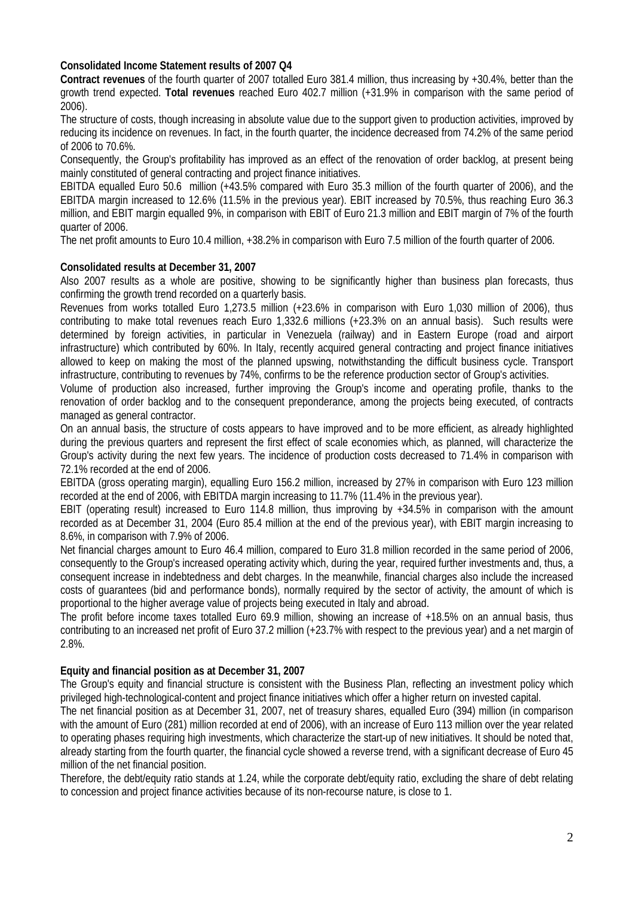#### **Consolidated Income Statement results of 2007 Q4**

**Contract revenues** of the fourth quarter of 2007 totalled Euro 381.4 million, thus increasing by +30.4%, better than the growth trend expected. **Total revenues** reached Euro 402.7 million (+31.9% in comparison with the same period of 2006).

The structure of costs, though increasing in absolute value due to the support given to production activities, improved by reducing its incidence on revenues. In fact, in the fourth quarter, the incidence decreased from 74.2% of the same period of 2006 to 70.6%.

Consequently, the Group's profitability has improved as an effect of the renovation of order backlog, at present being mainly constituted of general contracting and project finance initiatives.

EBITDA equalled Euro 50.6 million (+43.5% compared with Euro 35.3 million of the fourth quarter of 2006), and the EBITDA margin increased to 12.6% (11.5% in the previous year). EBIT increased by 70.5%, thus reaching Euro 36.3 million, and EBIT margin equalled 9%, in comparison with EBIT of Euro 21.3 million and EBIT margin of 7% of the fourth quarter of 2006.

The net profit amounts to Euro 10.4 million, +38.2% in comparison with Euro 7.5 million of the fourth quarter of 2006.

#### **Consolidated results at December 31, 2007**

Also 2007 results as a whole are positive, showing to be significantly higher than business plan forecasts, thus confirming the growth trend recorded on a quarterly basis.

Revenues from works totalled Euro 1,273.5 million (+23.6% in comparison with Euro 1,030 million of 2006), thus contributing to make total revenues reach Euro 1,332.6 millions (+23.3% on an annual basis). Such results were determined by foreign activities, in particular in Venezuela (railway) and in Eastern Europe (road and airport infrastructure) which contributed by 60%. In Italy, recently acquired general contracting and project finance initiatives allowed to keep on making the most of the planned upswing, notwithstanding the difficult business cycle. Transport infrastructure, contributing to revenues by 74%, confirms to be the reference production sector of Group's activities.

Volume of production also increased, further improving the Group's income and operating profile, thanks to the renovation of order backlog and to the consequent preponderance, among the projects being executed, of contracts managed as general contractor.

On an annual basis, the structure of costs appears to have improved and to be more efficient, as already highlighted during the previous quarters and represent the first effect of scale economies which, as planned, will characterize the Group's activity during the next few years. The incidence of production costs decreased to 71.4% in comparison with 72.1% recorded at the end of 2006.

EBITDA (gross operating margin), equalling Euro 156.2 million, increased by 27% in comparison with Euro 123 million recorded at the end of 2006, with EBITDA margin increasing to 11.7% (11.4% in the previous year).

EBIT (operating result) increased to Euro 114.8 million, thus improving by +34.5% in comparison with the amount recorded as at December 31, 2004 (Euro 85.4 million at the end of the previous year), with EBIT margin increasing to 8.6%, in comparison with 7.9% of 2006.

Net financial charges amount to Euro 46.4 million, compared to Euro 31.8 million recorded in the same period of 2006, consequently to the Group's increased operating activity which, during the year, required further investments and, thus, a consequent increase in indebtedness and debt charges. In the meanwhile, financial charges also include the increased costs of guarantees (bid and performance bonds), normally required by the sector of activity, the amount of which is proportional to the higher average value of projects being executed in Italy and abroad.

The profit before income taxes totalled Euro 69.9 million, showing an increase of +18.5% on an annual basis, thus contributing to an increased net profit of Euro 37.2 million (+23.7% with respect to the previous year) and a net margin of 2.8%.

#### **Equity and financial position as at December 31, 2007**

The Group's equity and financial structure is consistent with the Business Plan, reflecting an investment policy which privileged high-technological-content and project finance initiatives which offer a higher return on invested capital.

The net financial position as at December 31, 2007, net of treasury shares, equalled Euro (394) million (in comparison with the amount of Euro (281) million recorded at end of 2006), with an increase of Euro 113 million over the year related to operating phases requiring high investments, which characterize the start-up of new initiatives. It should be noted that, already starting from the fourth quarter, the financial cycle showed a reverse trend, with a significant decrease of Euro 45 million of the net financial position.

Therefore, the debt/equity ratio stands at 1.24, while the corporate debt/equity ratio, excluding the share of debt relating to concession and project finance activities because of its non-recourse nature, is close to 1.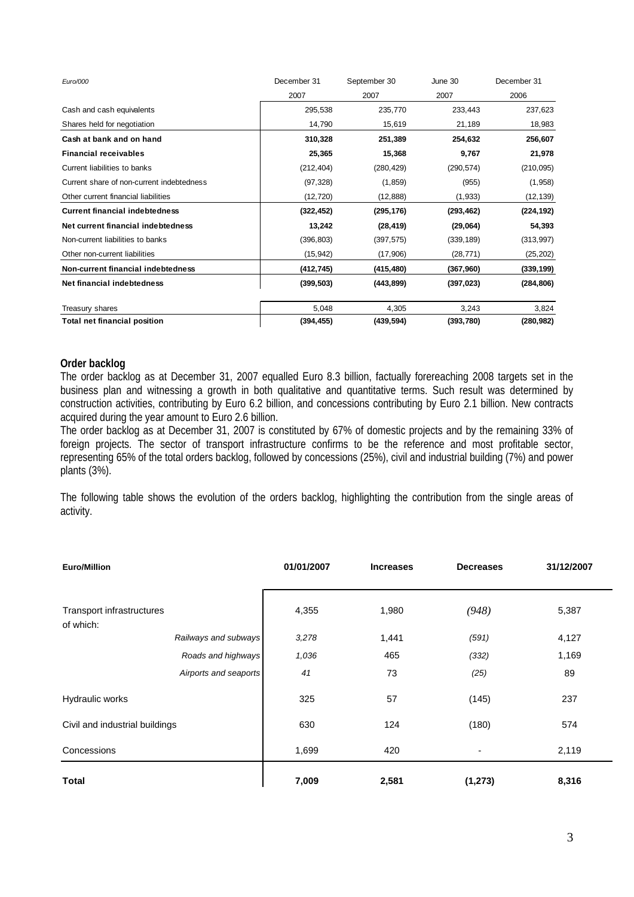| Euro/000                                  | December 31 | September 30 | June 30    | December 31 |  |
|-------------------------------------------|-------------|--------------|------------|-------------|--|
|                                           | 2007        | 2007         | 2007       | 2006        |  |
| Cash and cash equivalents                 | 295,538     | 235,770      | 233,443    | 237,623     |  |
| Shares held for negotiation               | 14,790      | 15,619       | 21,189     | 18,983      |  |
| Cash at bank and on hand                  | 310,328     | 251,389      | 254,632    | 256,607     |  |
| <b>Financial receivables</b>              | 25,365      | 15,368       | 9,767      | 21,978      |  |
| Current liabilities to banks              | (212, 404)  | (280, 429)   | (290, 574) | (210, 095)  |  |
| Current share of non-current indebtedness | (97, 328)   | (1, 859)     | (955)      | (1,958)     |  |
| Other current financial liabilities       | (12, 720)   | (12, 888)    | (1,933)    | (12, 139)   |  |
| <b>Current financial indebtedness</b>     | (322, 452)  | (295, 176)   | (293, 462) | (224, 192)  |  |
| Net current financial indebtedness        | 13,242      | (28, 419)    | (29,064)   | 54,393      |  |
| Non-current liabilities to banks          | (396, 803)  | (397, 575)   | (339, 189) | (313, 997)  |  |
| Other non-current liabilities             | (15, 942)   | (17,906)     | (28, 771)  | (25, 202)   |  |
| Non-current financial indebtedness        | (412, 745)  | (415,480)    | (367,960)  | (339, 199)  |  |
| Net financial indebtedness                | (399, 503)  | (443, 899)   | (397, 023) | (284, 806)  |  |
| Treasury shares                           | 5,048       | 4,305        | 3,243      | 3,824       |  |
| <b>Total net financial position</b>       | (394, 455)  | (439, 594)   | (393,780)  | (280, 982)  |  |

#### **Order backlog**

The order backlog as at December 31, 2007 equalled Euro 8.3 billion, factually forereaching 2008 targets set in the business plan and witnessing a growth in both qualitative and quantitative terms. Such result was determined by construction activities, contributing by Euro 6.2 billion, and concessions contributing by Euro 2.1 billion. New contracts acquired during the year amount to Euro 2.6 billion.

The order backlog as at December 31, 2007 is constituted by 67% of domestic projects and by the remaining 33% of foreign projects. The sector of transport infrastructure confirms to be the reference and most profitable sector, representing 65% of the total orders backlog, followed by concessions (25%), civil and industrial building (7%) and power plants (3%).

The following table shows the evolution of the orders backlog, highlighting the contribution from the single areas of activity.

| <b>Euro/Million</b>                    | 01/01/2007 | <b>Increases</b> | <b>Decreases</b> | 31/12/2007 |
|----------------------------------------|------------|------------------|------------------|------------|
| Transport infrastructures<br>of which: | 4,355      | 1,980            | (948)            | 5,387      |
| Railways and subways                   | 3,278      | 1,441            | (591)            | 4,127      |
| Roads and highways                     | 1,036      | 465              | (332)            | 1,169      |
| Airports and seaports                  | 41         | 73               | (25)             | 89         |
| Hydraulic works                        | 325        | 57               | (145)            | 237        |
| Civil and industrial buildings         | 630        | 124              | (180)            | 574        |
| Concessions                            | 1,699      | 420              | ٠                | 2,119      |
| <b>Total</b>                           | 7,009      | 2,581            | (1, 273)         | 8,316      |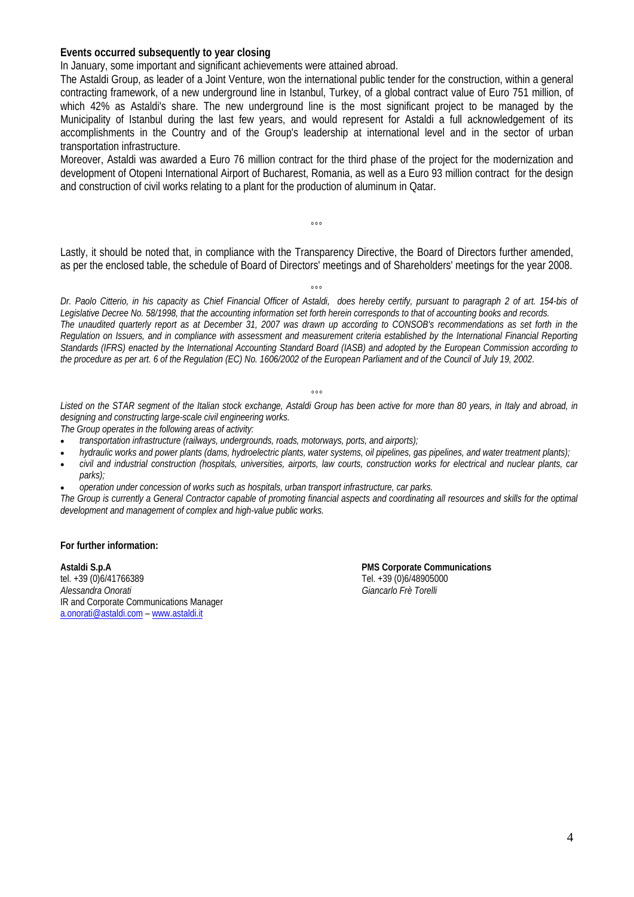#### **Events occurred subsequently to year closing**

In January, some important and significant achievements were attained abroad.

The Astaldi Group, as leader of a Joint Venture, won the international public tender for the construction, within a general contracting framework, of a new underground line in Istanbul, Turkey, of a global contract value of Euro 751 million, of which 42% as Astaldi's share. The new underground line is the most significant project to be managed by the Municipality of Istanbul during the last few years, and would represent for Astaldi a full acknowledgement of its accomplishments in the Country and of the Group's leadership at international level and in the sector of urban transportation infrastructure.

Moreover, Astaldi was awarded a Euro 76 million contract for the third phase of the project for the modernization and development of Otopeni International Airport of Bucharest, Romania, as well as a Euro 93 million contract for the design and construction of civil works relating to a plant for the production of aluminum in Qatar.

Lastly, it should be noted that, in compliance with the Transparency Directive, the Board of Directors further amended, as per the enclosed table, the schedule of Board of Directors' meetings and of Shareholders' meetings for the year 2008.

 $\sim$ 

 $^{\circ}$ ° *Dr. Paolo Citterio, in his capacity as Chief Financial Officer of Astaldi, does hereby certify, pursuant to paragraph 2 of art. 154-bis of Legislative Decree No. 58/1998, that the accounting information set forth herein corresponds to that of accounting books and records. The unaudited quarterly report as at December 31, 2007 was drawn up according to CONSOB's recommendations as set forth in the Regulation on Issuers, and in compliance with assessment and measurement criteria established by the International Financial Reporting Standards (IFRS) enacted by the International Accounting Standard Board (IASB) and adopted by the European Commission according to the procedure as per art. 6 of the Regulation (EC) No. 1606/2002 of the European Parliament and of the Council of July 19, 2002.* 

#### *°°°*

Listed on the STAR segment of the Italian stock exchange, Astaldi Group has been active for more than 80 years, in Italy and abroad, in *designing and constructing large-scale civil engineering works.* 

*The Group operates in the following areas of activity:* 

- *transportation infrastructure (railways, undergrounds, roads, motorways, ports, and airports);*
- *hydraulic works and power plants (dams, hydroelectric plants, water systems, oil pipelines, gas pipelines, and water treatment plants);*
- *civil and industrial construction (hospitals, universities, airports, law courts, construction works for electrical and nuclear plants, car parks);*
- *operation under concession of works such as hospitals, urban transport infrastructure, car parks.*

*The Group is currently a General Contractor capable of promoting financial aspects and coordinating all resources and skills for the optimal development and management of complex and high-value public works.* 

#### **For further information:**

**Astaldi S.p.A PMS Corporate Communications** tel. +39 (0)6/41766389 Tel. +39 (0)6/48905000 *Alessandra Onorati Giancarlo Frè Torelli* IR and Corporate Communications Manager a.onorati@astaldi.com – www.astaldi.it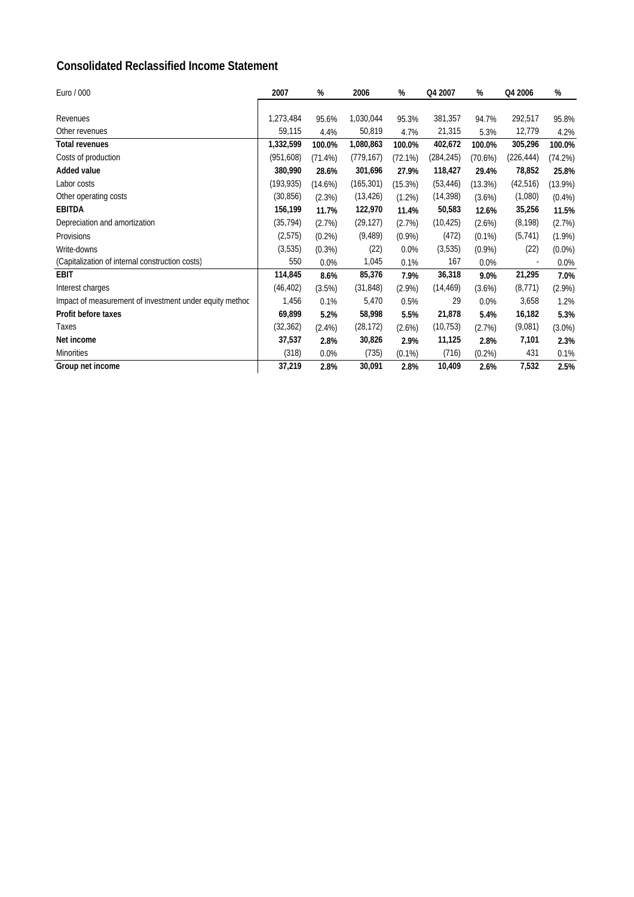## **Consolidated Reclassified Income Statement**

| Euro / 000                                              | 2007      | %          | 2006       | %         | Q4 2007    | %          | Q4 2006    | %          |
|---------------------------------------------------------|-----------|------------|------------|-----------|------------|------------|------------|------------|
|                                                         |           |            |            |           |            |            |            |            |
| Revenues                                                | 1,273,484 | 95.6%      | 1,030,044  | 95.3%     | 381,357    | 94.7%      | 292,517    | 95.8%      |
| Other revenues                                          | 59,115    | 4.4%       | 50,819     | 4.7%      | 21,315     | 5.3%       | 12,779     | 4.2%       |
| <b>Total revenues</b>                                   | 1,332,599 | 100.0%     | 1,080,863  | 100.0%    | 402,672    | 100.0%     | 305,296    | 100.0%     |
| Costs of production                                     | (951,608) | $(71.4\%)$ | (779, 167) | (72.1%)   | (284, 245) | $(70.6\%)$ | (226, 444) | (74.2%)    |
| Added value                                             | 380,990   | 28.6%      | 301,696    | 27.9%     | 118,427    | 29.4%      | 78,852     | 25.8%      |
| Labor costs                                             | (193,935) | $(14.6\%)$ | (165, 301) | (15.3%)   | (53, 446)  | (13.3%)    | (42, 516)  | $(13.9\%)$ |
| Other operating costs                                   | (30, 856) | (2.3%)     | (13, 426)  | (1.2%)    | (14, 398)  | (3.6%)     | (1,080)    | $(0.4\%)$  |
| <b>EBITDA</b>                                           | 156,199   | 11.7%      | 122,970    | 11.4%     | 50,583     | 12.6%      | 35,256     | 11.5%      |
| Depreciation and amortization                           | (35, 794) | (2.7%)     | (29, 127)  | (2.7%)    | (10, 425)  | (2.6%)     | (8, 198)   | (2.7%)     |
| Provisions                                              | (2, 575)  | $(0.2\%)$  | (9, 489)   | $(0.9\%)$ | (472)      | $(0.1\%)$  | (5, 741)   | $(1.9\%)$  |
| Write-downs                                             | (3, 535)  | (0.3%)     | (22)       | 0.0%      | (3, 535)   | $(0.9\%)$  | (22)       | $(0.0\%)$  |
| (Capitalization of internal construction costs)         | 550       | 0.0%       | 1,045      | 0.1%      | 167        | $0.0\%$    |            | 0.0%       |
| <b>EBIT</b>                                             | 114,845   | 8.6%       | 85,376     | 7.9%      | 36,318     | 9.0%       | 21,295     | 7.0%       |
| Interest charges                                        | (46, 402) | (3.5%)     | (31, 848)  | $(2.9\%)$ | (14, 469)  | (3.6%)     | (8,771)    | $(2.9\%)$  |
| Impact of measurement of investment under equity method | 1,456     | 0.1%       | 5,470      | 0.5%      | 29         | $0.0\%$    | 3,658      | 1.2%       |
| Profit before taxes                                     | 69,899    | 5.2%       | 58,998     | 5.5%      | 21,878     | 5.4%       | 16,182     | 5.3%       |
| Taxes                                                   | (32, 362) | $(2.4\%)$  | (28, 172)  | (2.6%)    | (10, 753)  | (2.7%)     | (9,081)    | $(3.0\%)$  |
| Net income                                              | 37,537    | 2.8%       | 30,826     | 2.9%      | 11,125     | 2.8%       | 7,101      | 2.3%       |
| <b>Minorities</b>                                       | (318)     | 0.0%       | (735)      | $(0.1\%)$ | (716)      | $(0.2\%)$  | 431        | 0.1%       |
| Group net income                                        | 37,219    | 2.8%       | 30,091     | 2.8%      | 10,409     | 2.6%       | 7,532      | 2.5%       |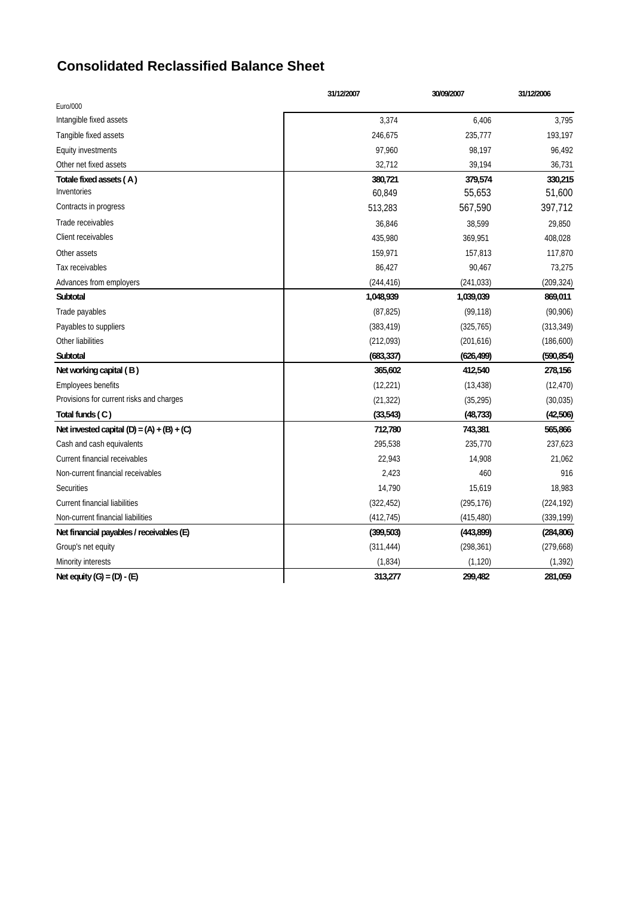## **Consolidated Reclassified Balance Sheet**

|                                              | 31/12/2007 | 30/09/2007 | 31/12/2006 |
|----------------------------------------------|------------|------------|------------|
| Euro/000                                     |            |            |            |
| Intangible fixed assets                      | 3,374      | 6,406      | 3,795      |
| Tangible fixed assets                        | 246,675    | 235,777    | 193,197    |
| <b>Equity investments</b>                    | 97,960     | 98,197     | 96,492     |
| Other net fixed assets                       | 32,712     | 39,194     | 36,731     |
| Totale fixed assets (A)                      | 380,721    | 379,574    | 330,215    |
| Inventories                                  | 60,849     | 55,653     | 51,600     |
| Contracts in progress                        | 513,283    | 567,590    | 397,712    |
| Trade receivables                            | 36,846     | 38,599     | 29,850     |
| Client receivables                           | 435,980    | 369,951    | 408,028    |
| Other assets                                 | 159,971    | 157,813    | 117,870    |
| Tax receivables                              | 86,427     | 90,467     | 73,275     |
| Advances from employers                      | (244, 416) | (241, 033) | (209, 324) |
| Subtotal                                     | 1,048,939  | 1,039,039  | 869,011    |
| Trade payables                               | (87, 825)  | (99, 118)  | (90, 906)  |
| Payables to suppliers                        | (383, 419) | (325, 765) | (313, 349) |
| Other liabilities                            | (212,093)  | (201, 616) | (186, 600) |
| Subtotal                                     | (683, 337) | (626, 499) | (590, 854) |
| Net working capital (B)                      | 365,602    | 412,540    | 278,156    |
| <b>Employees benefits</b>                    | (12, 221)  | (13, 438)  | (12, 470)  |
| Provisions for current risks and charges     | (21, 322)  | (35, 295)  | (30, 035)  |
| Total funds (C)                              | (33, 543)  | (48, 733)  | (42,506)   |
| Net invested capital $(D) = (A) + (B) + (C)$ | 712,780    | 743,381    | 565,866    |
| Cash and cash equivalents                    | 295,538    | 235,770    | 237,623    |
| Current financial receivables                | 22,943     | 14,908     | 21,062     |
| Non-current financial receivables            | 2,423      | 460        | 916        |
| <b>Securities</b>                            | 14,790     | 15,619     | 18,983     |
| <b>Current financial liabilities</b>         | (322, 452) | (295, 176) | (224, 192) |
| Non-current financial liabilities            | (412, 745) | (415, 480) | (339, 199) |
| Net financial payables / receivables (E)     | (399, 503) | (443, 899) | (284, 806) |
| Group's net equity                           | (311, 444) | (298, 361) | (279, 668) |
| Minority interests                           | (1,834)    | (1, 120)   | (1, 392)   |
| Net equity $(G) = (D) - (E)$                 | 313,277    | 299,482    | 281,059    |